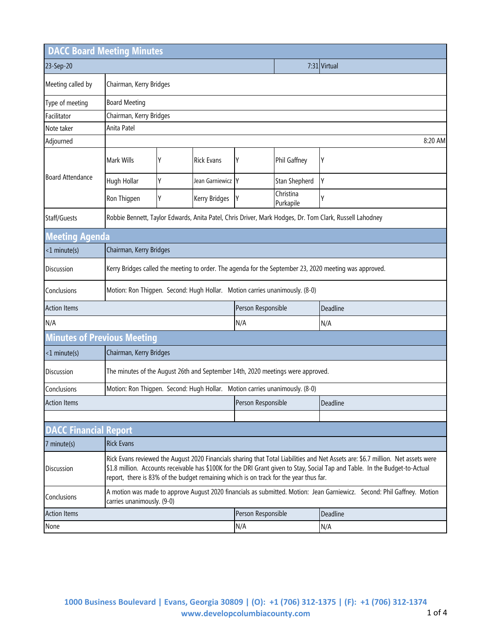| <b>DACC Board Meeting Minutes</b>                                                          |                                                                                                                                                                                                                                                                                                                                                           |   |                    |              |                        |   |  |
|--------------------------------------------------------------------------------------------|-----------------------------------------------------------------------------------------------------------------------------------------------------------------------------------------------------------------------------------------------------------------------------------------------------------------------------------------------------------|---|--------------------|--------------|------------------------|---|--|
| 23-Sep-20                                                                                  |                                                                                                                                                                                                                                                                                                                                                           |   |                    | 7:31 Virtual |                        |   |  |
| Meeting called by                                                                          | Chairman, Kerry Bridges                                                                                                                                                                                                                                                                                                                                   |   |                    |              |                        |   |  |
| Type of meeting                                                                            | <b>Board Meeting</b>                                                                                                                                                                                                                                                                                                                                      |   |                    |              |                        |   |  |
| Facilitator                                                                                | Chairman, Kerry Bridges                                                                                                                                                                                                                                                                                                                                   |   |                    |              |                        |   |  |
| Note taker                                                                                 | Anita Patel                                                                                                                                                                                                                                                                                                                                               |   |                    |              |                        |   |  |
| Adjourned                                                                                  | 8:20 AM                                                                                                                                                                                                                                                                                                                                                   |   |                    |              |                        |   |  |
|                                                                                            | Mark Wills                                                                                                                                                                                                                                                                                                                                                | Υ | <b>Rick Evans</b>  | γ            | Phil Gaffney           | Y |  |
| <b>Board Attendance</b>                                                                    | Hugh Hollar                                                                                                                                                                                                                                                                                                                                               | Υ | Jean Garniewicz Y  |              | Stan Shepherd          | Y |  |
|                                                                                            | Ron Thigpen                                                                                                                                                                                                                                                                                                                                               | Y | Kerry Bridges      | Y            | Christina<br>Purkapile | γ |  |
| Staff/Guests                                                                               | Robbie Bennett, Taylor Edwards, Anita Patel, Chris Driver, Mark Hodges, Dr. Tom Clark, Russell Lahodney                                                                                                                                                                                                                                                   |   |                    |              |                        |   |  |
| <b>Meeting Agenda</b>                                                                      |                                                                                                                                                                                                                                                                                                                                                           |   |                    |              |                        |   |  |
| $<$ 1 minute(s)                                                                            | Chairman, Kerry Bridges                                                                                                                                                                                                                                                                                                                                   |   |                    |              |                        |   |  |
| Discussion                                                                                 | Kerry Bridges called the meeting to order. The agenda for the September 23, 2020 meeting was approved.                                                                                                                                                                                                                                                    |   |                    |              |                        |   |  |
| Conclusions                                                                                | Motion: Ron Thigpen. Second: Hugh Hollar. Motion carries unanimously. (8-0)                                                                                                                                                                                                                                                                               |   |                    |              |                        |   |  |
| Person Responsible<br><b>Action Items</b><br>Deadline                                      |                                                                                                                                                                                                                                                                                                                                                           |   |                    |              |                        |   |  |
| N/A                                                                                        |                                                                                                                                                                                                                                                                                                                                                           |   | N/A                |              | N/A                    |   |  |
| <b>Minutes of Previous Meeting</b>                                                         |                                                                                                                                                                                                                                                                                                                                                           |   |                    |              |                        |   |  |
| $<$ 1 minute(s)                                                                            | Chairman, Kerry Bridges                                                                                                                                                                                                                                                                                                                                   |   |                    |              |                        |   |  |
| Discussion                                                                                 | The minutes of the August 26th and September 14th, 2020 meetings were approved.                                                                                                                                                                                                                                                                           |   |                    |              |                        |   |  |
| Conclusions<br>Motion: Ron Thigpen. Second: Hugh Hollar. Motion carries unanimously. (8-0) |                                                                                                                                                                                                                                                                                                                                                           |   |                    |              |                        |   |  |
| <b>Action Items</b>                                                                        |                                                                                                                                                                                                                                                                                                                                                           |   | Person Responsible |              | Deadline               |   |  |
|                                                                                            |                                                                                                                                                                                                                                                                                                                                                           |   |                    |              |                        |   |  |
| <b>DACC Financial Report</b>                                                               |                                                                                                                                                                                                                                                                                                                                                           |   |                    |              |                        |   |  |
| 7 minute(s)                                                                                | <b>Rick Evans</b>                                                                                                                                                                                                                                                                                                                                         |   |                    |              |                        |   |  |
| Discussion                                                                                 | Rick Evans reviewed the August 2020 Financials sharing that Total Liabilities and Net Assets are: \$6.7 million. Net assets were<br>\$1.8 million. Accounts receivable has \$100K for the DRI Grant given to Stay, Social Tap and Table. In the Budget-to-Actual<br>report, there is 83% of the budget remaining which is on track for the year thus far. |   |                    |              |                        |   |  |
| Conclusions                                                                                | A motion was made to approve August 2020 financials as submitted. Motion: Jean Garniewicz. Second: Phil Gaffney. Motion<br>carries unanimously. (9-0)                                                                                                                                                                                                     |   |                    |              |                        |   |  |
| <b>Action Items</b><br>Person Responsible<br>Deadline                                      |                                                                                                                                                                                                                                                                                                                                                           |   |                    |              |                        |   |  |
| None                                                                                       |                                                                                                                                                                                                                                                                                                                                                           |   | N/A                |              | N/A                    |   |  |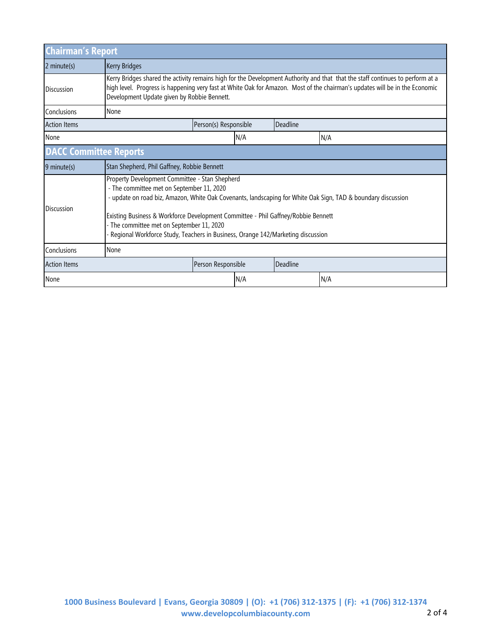| <b>Chairman's Report</b>      |                                                                                                                                                                                                                                                                                                                                                                                                                                  |                    |  |          |  |  |  |  |
|-------------------------------|----------------------------------------------------------------------------------------------------------------------------------------------------------------------------------------------------------------------------------------------------------------------------------------------------------------------------------------------------------------------------------------------------------------------------------|--------------------|--|----------|--|--|--|--|
| 2 minute(s)                   | <b>Kerry Bridges</b>                                                                                                                                                                                                                                                                                                                                                                                                             |                    |  |          |  |  |  |  |
| <b>Discussion</b>             | Kerry Bridges shared the activity remains high for the Development Authority and that that the staff continues to perform at a<br>high level. Progress is happening very fast at White Oak for Amazon. Most of the chairman's updates will be in the Economic<br>Development Update given by Robbie Bennett.                                                                                                                     |                    |  |          |  |  |  |  |
| Conclusions                   | None                                                                                                                                                                                                                                                                                                                                                                                                                             |                    |  |          |  |  |  |  |
| <b>Action Items</b>           | Deadline<br>Person(s) Responsible                                                                                                                                                                                                                                                                                                                                                                                                |                    |  |          |  |  |  |  |
| None                          |                                                                                                                                                                                                                                                                                                                                                                                                                                  | N/A                |  | N/A      |  |  |  |  |
| <b>DACC Committee Reports</b> |                                                                                                                                                                                                                                                                                                                                                                                                                                  |                    |  |          |  |  |  |  |
| 9 minute(s)                   | Stan Shepherd, Phil Gaffney, Robbie Bennett                                                                                                                                                                                                                                                                                                                                                                                      |                    |  |          |  |  |  |  |
| <b>Discussion</b>             | Property Development Committee - Stan Shepherd<br>- The committee met on September 11, 2020<br>- update on road biz, Amazon, White Oak Covenants, landscaping for White Oak Sign, TAD & boundary discussion<br>Existing Business & Workforce Development Committee - Phil Gaffney/Robbie Bennett<br>- The committee met on September 11, 2020<br>Regional Workforce Study, Teachers in Business, Orange 142/Marketing discussion |                    |  |          |  |  |  |  |
| Conclusions                   | None                                                                                                                                                                                                                                                                                                                                                                                                                             |                    |  |          |  |  |  |  |
| <b>Action Items</b>           |                                                                                                                                                                                                                                                                                                                                                                                                                                  | Person Responsible |  | Deadline |  |  |  |  |
| None                          |                                                                                                                                                                                                                                                                                                                                                                                                                                  | N/A                |  | N/A      |  |  |  |  |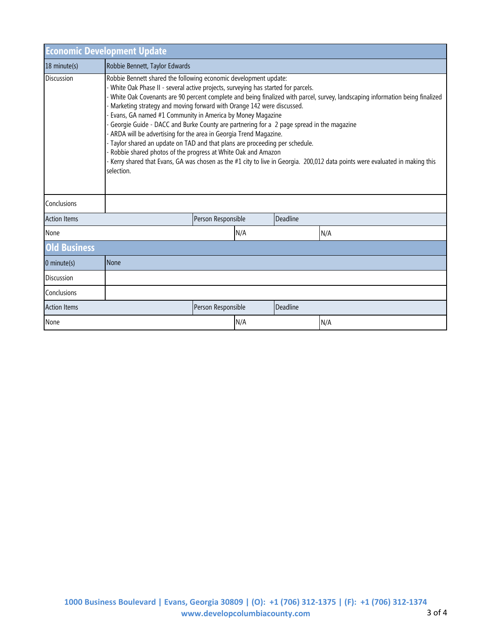| <b>Economic Development Update</b> |                                                                                                                                                                                                                                                                                                                                                                                                                                                                                                                                                                                                                                                                                                                                                                                                                                                                                             |                    |     |                 |     |  |  |
|------------------------------------|---------------------------------------------------------------------------------------------------------------------------------------------------------------------------------------------------------------------------------------------------------------------------------------------------------------------------------------------------------------------------------------------------------------------------------------------------------------------------------------------------------------------------------------------------------------------------------------------------------------------------------------------------------------------------------------------------------------------------------------------------------------------------------------------------------------------------------------------------------------------------------------------|--------------------|-----|-----------------|-----|--|--|
| 18 minute(s)                       | Robbie Bennett, Taylor Edwards                                                                                                                                                                                                                                                                                                                                                                                                                                                                                                                                                                                                                                                                                                                                                                                                                                                              |                    |     |                 |     |  |  |
| <b>Discussion</b>                  | Robbie Bennett shared the following economic development update:<br>- White Oak Phase II - several active projects, surveying has started for parcels.<br>White Oak Covenants are 90 percent complete and being finalized with parcel, survey, landscaping information being finalized<br>Marketing strategy and moving forward with Orange 142 were discussed.<br>Evans, GA named #1 Community in America by Money Magazine<br>Georgie Guide - DACC and Burke County are partnering for a 2 page spread in the magazine<br>ARDA will be advertising for the area in Georgia Trend Magazine.<br>- Taylor shared an update on TAD and that plans are proceeding per schedule.<br>- Robbie shared photos of the progress at White Oak and Amazon<br>Kerry shared that Evans, GA was chosen as the #1 city to live in Georgia. 200,012 data points were evaluated in making this<br>selection. |                    |     |                 |     |  |  |
| Conclusions                        |                                                                                                                                                                                                                                                                                                                                                                                                                                                                                                                                                                                                                                                                                                                                                                                                                                                                                             |                    |     |                 |     |  |  |
| <b>Action Items</b>                |                                                                                                                                                                                                                                                                                                                                                                                                                                                                                                                                                                                                                                                                                                                                                                                                                                                                                             | Person Responsible |     | <b>Deadline</b> |     |  |  |
| None                               |                                                                                                                                                                                                                                                                                                                                                                                                                                                                                                                                                                                                                                                                                                                                                                                                                                                                                             | N/A                |     |                 | N/A |  |  |
| <b>Old Business</b>                |                                                                                                                                                                                                                                                                                                                                                                                                                                                                                                                                                                                                                                                                                                                                                                                                                                                                                             |                    |     |                 |     |  |  |
| $0$ minute(s)                      | None                                                                                                                                                                                                                                                                                                                                                                                                                                                                                                                                                                                                                                                                                                                                                                                                                                                                                        |                    |     |                 |     |  |  |
| <b>Discussion</b>                  |                                                                                                                                                                                                                                                                                                                                                                                                                                                                                                                                                                                                                                                                                                                                                                                                                                                                                             |                    |     |                 |     |  |  |
| Conclusions                        |                                                                                                                                                                                                                                                                                                                                                                                                                                                                                                                                                                                                                                                                                                                                                                                                                                                                                             |                    |     |                 |     |  |  |
| <b>Action Items</b>                |                                                                                                                                                                                                                                                                                                                                                                                                                                                                                                                                                                                                                                                                                                                                                                                                                                                                                             | Person Responsible |     | Deadline        |     |  |  |
| None                               |                                                                                                                                                                                                                                                                                                                                                                                                                                                                                                                                                                                                                                                                                                                                                                                                                                                                                             |                    | N/A |                 | N/A |  |  |